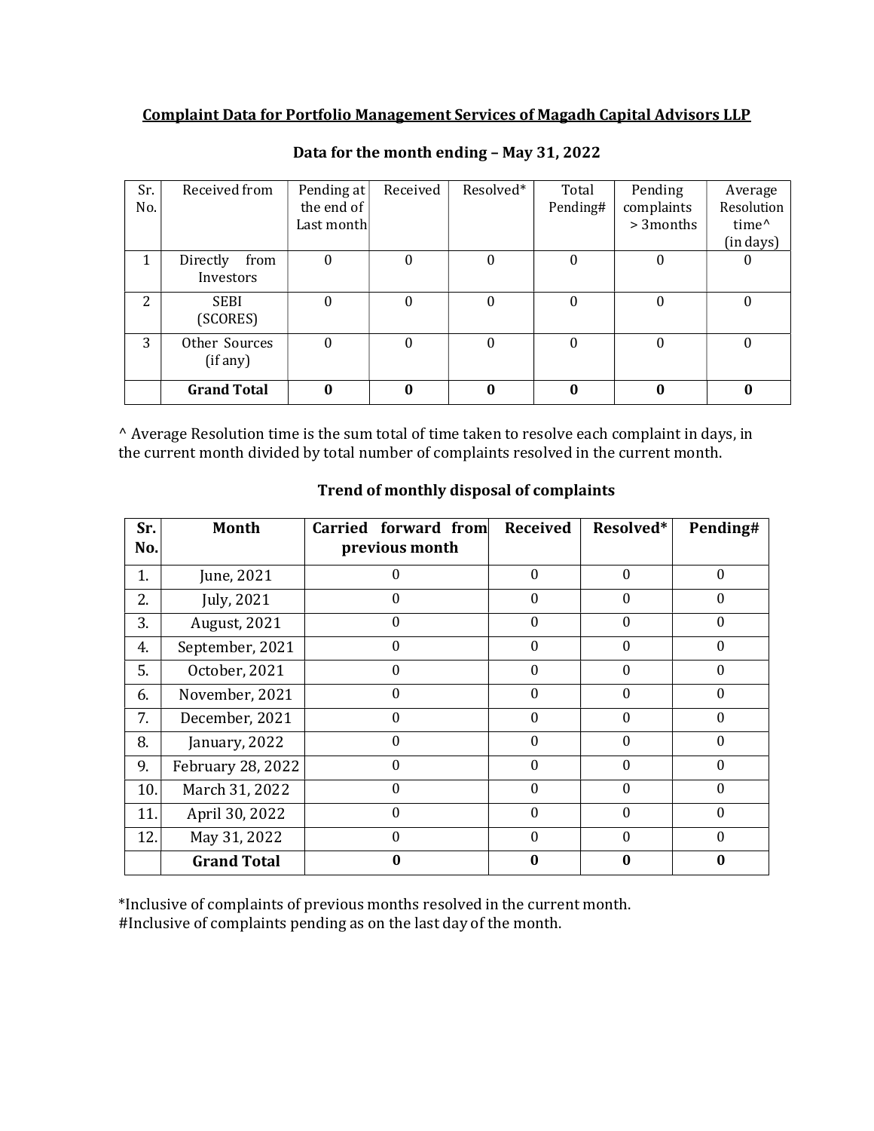## Complaint Data for Portfolio Management Services of Magadh Capital Advisors LLP

| Sr.<br>No. | Received from                 | Pending at<br>the end of | Received | Resolved* | Total<br>Pending# | Pending<br>complaints | Average<br>Resolution          |
|------------|-------------------------------|--------------------------|----------|-----------|-------------------|-----------------------|--------------------------------|
|            |                               | Last month               |          |           |                   | > 3 months            | time <sup>^</sup><br>(in days) |
|            | Directly<br>from<br>Investors | U                        |          | U         | 0                 | U                     |                                |
| 2          | <b>SEBI</b><br>(SCORES)       | $\mathbf{0}$             | $\theta$ | $\theta$  | 0                 | $\bf{0}$              | 0                              |
| 3          | Other Sources<br>(if any)     | 0                        | 0        | 0         | $\theta$          | $\theta$              | 0                              |
|            | <b>Grand Total</b>            | $\mathbf{0}$             | 0        | 0         | $\bf{0}$          | $\bf{0}$              | 0                              |

Data for the month ending – May 31, 2022

^ Average Resolution time is the sum total of time taken to resolve each complaint in days, in the current month divided by total number of complaints resolved in the current month.

| Sr.<br>No. | <b>Month</b>        | Carried forward from<br>previous month | <b>Received</b> | Resolved*    | Pending# |
|------------|---------------------|----------------------------------------|-----------------|--------------|----------|
|            |                     |                                        |                 |              |          |
| 1.         | June, 2021          | $\Omega$                               | $\Omega$        | $\theta$     | 0        |
| 2.         | July, 2021          | $\Omega$                               | $\Omega$        | 0            | 0        |
| 3.         | <b>August, 2021</b> | $\Omega$                               | $\Omega$        | $\theta$     | 0        |
| 4.         | September, 2021     | $\Omega$                               | $\Omega$        | 0            | 0        |
| 5.         | October, 2021       | $\Omega$                               | $\Omega$        | $\theta$     | 0        |
| 6.         | November, 2021      | $\Omega$                               | 0               | $\theta$     | 0        |
| 7.         | December, 2021      | $\Omega$                               | $\Omega$        | $\theta$     | 0        |
| 8.         | January, 2022       | $\Omega$                               | $\Omega$        | 0            | 0        |
| 9.         | February 28, 2022   | $\theta$                               | $\Omega$        | $\theta$     | 0        |
| 10.        | March 31, 2022      | $\Omega$                               | $\Omega$        | $\Omega$     | 0        |
| 11.        | April 30, 2022      | 0                                      | 0               | 0            | 0        |
| 12.        | May 31, 2022        | $\Omega$                               | $\Omega$        | $\mathbf{0}$ | $\Omega$ |
|            | <b>Grand Total</b>  | 0                                      | 0               | 0            | 0        |

## Trend of monthly disposal of complaints

\*Inclusive of complaints of previous months resolved in the current month. #Inclusive of complaints pending as on the last day of the month.